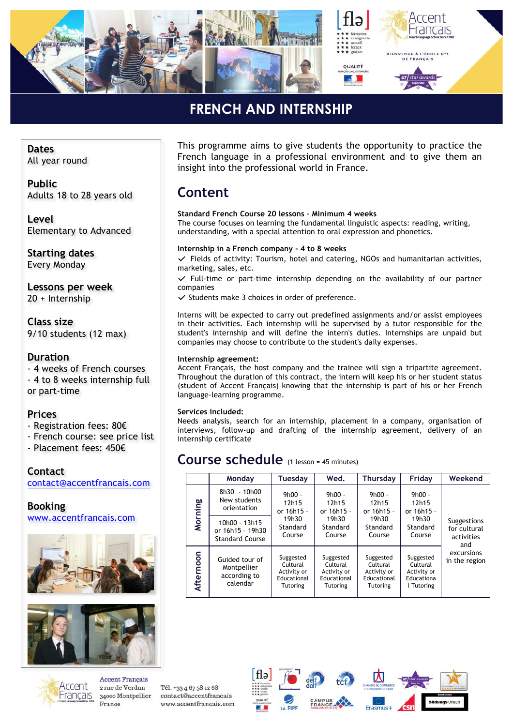

### **FRENCH AND INTERNSHIP** *»*

**Dates** All year round

**Public** Adults 18 to 28 years old

**Level** Elementary to Advanced

**Starting dates** Every Monday

**Lessons per week** 20 + Internship

**Class size** 9/10 students (12 max)

### **Duration**

- 4 weeks of French courses - 4 to 8 weeks internship full or part-time

#### **Prices**

- Registration fees: 80€
- French course: see price list
- Placement fees: 450€

**Contact** contact@accentfrancais.com

**Booking** www.accentfrancais.com





This programme aims to give students the opportunity to practice the French language in a professional environment and to give them an insight into the professional world in France.

### **Content**

**Standard French Course 20 lessons – Minimum 4 weeks** The course focuses on learning the fundamental linguistic aspects: reading, writing, understanding, with a special attention to oral expression and phonetics.

#### **Internship in a French company - 4 to 8 weeks**

*✓* Fields of activity: Tourism, hotel and catering, NGOs and humanitarian activities, marketing, sales, etc.

*✓* Full-time or part-time internship depending on the availability of our partner companies

*✓* Students make 3 choices in order of preference.

Interns will be expected to carry out predefined assignments and/or assist employees in their activities. Each internship will be supervised by a tutor responsible for the student's internship and will define the intern's duties. Internships are unpaid but companies may choose to contribute to the student's daily expenses.

#### **Internship agreement:**

Accent Français, the host company and the trainee will sign a tripartite agreement. Throughout the duration of this contract, the intern will keep his or her student status (student of Accent Français) knowing that the internship is part of his or her French language-learning programme.

#### **Services included:**

Needs analysis, search for an internship, placement in a company, organisation of interviews, follow-up and drafting of the internship agreement, delivery of an internship certificate

### **Course schedule** (1 lesson = 45 minutes)

|           | Monday                                                      | Tuesday                                                                | Wed.                                                                   | <b>Thursday</b>                                                        | Friday                                                           | Weekend                                                                         |
|-----------|-------------------------------------------------------------|------------------------------------------------------------------------|------------------------------------------------------------------------|------------------------------------------------------------------------|------------------------------------------------------------------|---------------------------------------------------------------------------------|
| Morning   | 8h30 - 10h00<br>New students<br>orientation                 | $9h00 -$<br>12h15<br>or 16h15 -<br>19h30<br>Standard<br>Course         | $9h00 -$<br>12h15<br>or 16h15 -<br>19h30<br>Standard<br>Course         | $9h00 -$<br>12h15<br>or 16h15 -                                        | $9h00 -$<br>12h15<br>or 16h15 -<br>19h30<br>Standard<br>Course   | Suggestions<br>for cultural<br>activities<br>and<br>excursions<br>in the region |
|           | 10h00 - 13h15<br>or 16h15 - 19h30<br><b>Standard Course</b> |                                                                        |                                                                        | 19h30<br>Standard<br>Course                                            |                                                                  |                                                                                 |
| Afternoon | Guided tour of<br>Montpellier<br>according to<br>calendar   | Suggested<br>Cultural<br>Activity or<br>Educational<br><b>Tutoring</b> | Suggested<br>Cultural<br>Activity or<br>Educational<br><b>Tutoring</b> | Suggested<br>Cultural<br>Activity or<br>Educational<br><b>Tutoring</b> | Suggested<br>Cultural<br>Activity or<br>Educationa<br>l Tutoring |                                                                                 |



**Accent Francais** 2 rue de Verdun 34000 Montpellier France

Tél. +33 4 67 58 12 68 contact@accentfrancais www.accentfrancais.com